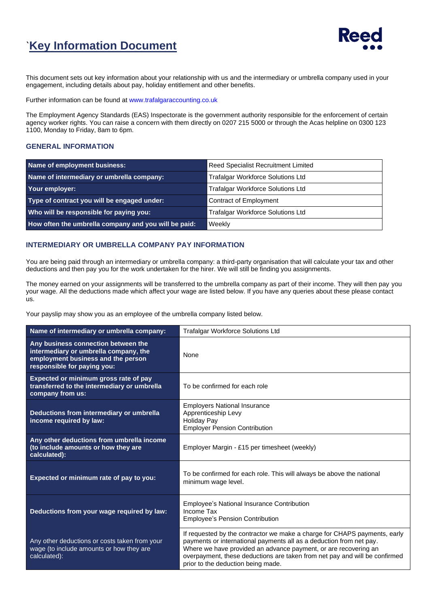## `**Key Information Document**



This document sets out key information about your relationship with us and the intermediary or umbrella company used in your engagement, including details about pay, holiday entitlement and other benefits.

Further information can be found at [www.trafalgaraccounting.co.uk](http://www.trafalgaraccounting.co.uk/)

The Employment Agency Standards (EAS) Inspectorate is the government authority responsible for the enforcement of certain agency worker rights. You can raise a concern with them directly on 0207 215 5000 or through the Acas helpline on 0300 123 1100, Monday to Friday, 8am to 6pm.

#### **GENERAL INFORMATION**

| Name of employment business:                         | Reed Specialist Recruitment Limited      |  |
|------------------------------------------------------|------------------------------------------|--|
| Name of intermediary or umbrella company:            | <b>Trafalgar Workforce Solutions Ltd</b> |  |
| Your employer:                                       | <b>Trafalgar Workforce Solutions Ltd</b> |  |
| Type of contract you will be engaged under:          | <b>Contract of Employment</b>            |  |
| Who will be responsible for paying you:              | <b>Trafalgar Workforce Solutions Ltd</b> |  |
| How often the umbrella company and you will be paid: | Weekly                                   |  |

#### **INTERMEDIARY OR UMBRELLA COMPANY PAY INFORMATION**

You are being paid through an intermediary or umbrella company: a third-party organisation that will calculate your tax and other deductions and then pay you for the work undertaken for the hirer. We will still be finding you assignments.

The money earned on your assignments will be transferred to the umbrella company as part of their income. They will then pay you your wage. All the deductions made which affect your wage are listed below. If you have any queries about these please contact us.

Your payslip may show you as an employee of the umbrella company listed below.

| Name of intermediary or umbrella company:                                                                                                         | <b>Trafalgar Workforce Solutions Ltd</b>                                                                                                                                                                                                                                                                                                |  |
|---------------------------------------------------------------------------------------------------------------------------------------------------|-----------------------------------------------------------------------------------------------------------------------------------------------------------------------------------------------------------------------------------------------------------------------------------------------------------------------------------------|--|
| Any business connection between the<br>intermediary or umbrella company, the<br>employment business and the person<br>responsible for paying you: | None                                                                                                                                                                                                                                                                                                                                    |  |
| Expected or minimum gross rate of pay<br>transferred to the intermediary or umbrella<br>company from us:                                          | To be confirmed for each role                                                                                                                                                                                                                                                                                                           |  |
| Deductions from intermediary or umbrella<br>income required by law:                                                                               | <b>Employers National Insurance</b><br>Apprenticeship Levy<br><b>Holiday Pay</b><br><b>Employer Pension Contribution</b>                                                                                                                                                                                                                |  |
| Any other deductions from umbrella income<br>(to include amounts or how they are<br>calculated):                                                  | Employer Margin - £15 per timesheet (weekly)                                                                                                                                                                                                                                                                                            |  |
| Expected or minimum rate of pay to you:                                                                                                           | To be confirmed for each role. This will always be above the national<br>minimum wage level.                                                                                                                                                                                                                                            |  |
| Deductions from your wage required by law:                                                                                                        | <b>Employee's National Insurance Contribution</b><br>Income Tax<br><b>Employee's Pension Contribution</b>                                                                                                                                                                                                                               |  |
| Any other deductions or costs taken from your<br>wage (to include amounts or how they are<br>calculated):                                         | If requested by the contractor we make a charge for CHAPS payments, early<br>payments or international payments all as a deduction from net pay.<br>Where we have provided an advance payment, or are recovering an<br>overpayment, these deductions are taken from net pay and will be confirmed<br>prior to the deduction being made. |  |